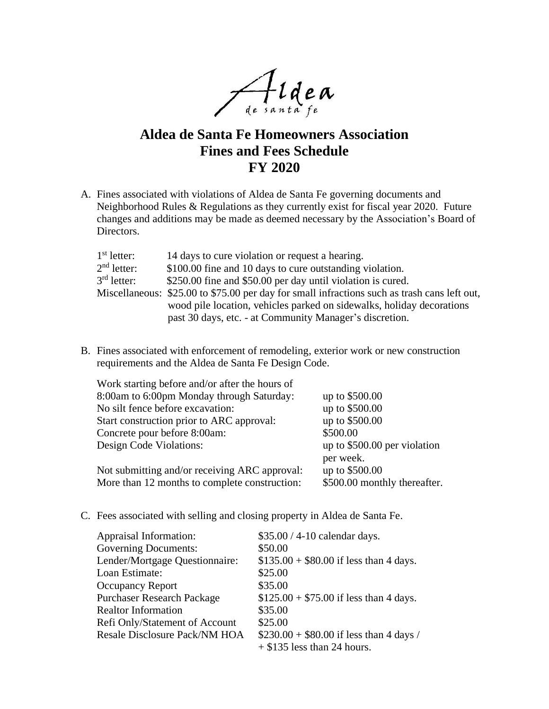Aidea

## **Aldea de Santa Fe Homeowners Association Fines and Fees Schedule FY 2020**

A. Fines associated with violations of Aldea de Santa Fe governing documents and Neighborhood Rules & Regulations as they currently exist for fiscal year 2020. Future changes and additions may be made as deemed necessary by the Association's Board of Directors.

| $1st$ letter: | 14 days to cure violation or request a hearing.                                              |
|---------------|----------------------------------------------------------------------------------------------|
| $2nd$ letter: | \$100.00 fine and 10 days to cure outstanding violation.                                     |
| $3rd$ letter: | \$250.00 fine and \$50.00 per day until violation is cured.                                  |
|               | Miscellaneous: \$25.00 to \$75.00 per day for small infractions such as trash cans left out, |
|               | wood pile location, vehicles parked on sidewalks, holiday decorations                        |
|               | past 30 days, etc. - at Community Manager's discretion.                                      |

B. Fines associated with enforcement of remodeling, exterior work or new construction requirements and the Aldea de Santa Fe Design Code.

| Work starting before and/or after the hours of |                              |
|------------------------------------------------|------------------------------|
| 8:00am to 6:00pm Monday through Saturday:      | up to \$500.00               |
| No silt fence before excavation:               | up to \$500.00               |
| Start construction prior to ARC approval:      | up to \$500.00               |
| Concrete pour before 8:00am:                   | \$500.00                     |
| Design Code Violations:                        | up to \$500.00 per violation |
|                                                | per week.                    |
| Not submitting and/or receiving ARC approval:  | up to \$500.00               |
| More than 12 months to complete construction:  | \$500.00 monthly thereafter. |

C. Fees associated with selling and closing property in Aldea de Santa Fe.

| Appraisal Information:            | \$35.00 / 4-10 calendar days.            |
|-----------------------------------|------------------------------------------|
| <b>Governing Documents:</b>       | \$50.00                                  |
| Lender/Mortgage Questionnaire:    | $$135.00 + $80.00$ if less than 4 days.  |
| Loan Estimate:                    | \$25.00                                  |
| <b>Occupancy Report</b>           | \$35.00                                  |
| <b>Purchaser Research Package</b> | $$125.00 + $75.00$ if less than 4 days.  |
| <b>Realtor Information</b>        | \$35.00                                  |
| Refi Only/Statement of Account    | \$25.00                                  |
| Resale Disclosure Pack/NM HOA     | $$230.00 + $80.00$ if less than 4 days / |
|                                   | $+$ \$135 less than 24 hours.            |